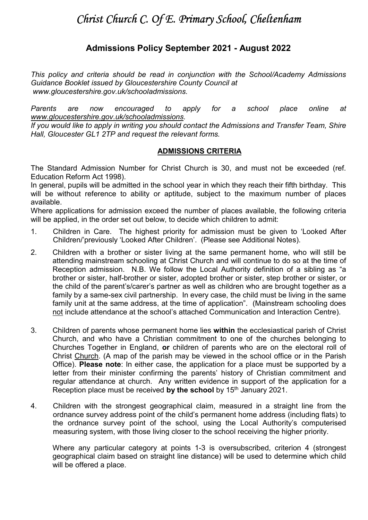# Christ Church C. Of E. Primary School, Cheltenham

# Admissions Policy September 2021 - August 2022

This policy and criteria should be read in conjunction with the School/Academy Admissions Guidance Booklet issued by Gloucestershire County Council at www.gloucestershire.gov.uk/schooladmissions.

Parents are now encouraged to apply for a school place online at www.gloucestershire.gov.uk/schooladmissions.

If you would like to apply in writing you should contact the Admissions and Transfer Team, Shire Hall, Gloucester GL1 2TP and request the relevant forms.

#### ADMISSIONS CRITERIA

The Standard Admission Number for Christ Church is 30, and must not be exceeded (ref. Education Reform Act 1998).

In general, pupils will be admitted in the school year in which they reach their fifth birthday. This will be without reference to ability or aptitude, subject to the maximum number of places available.

Where applications for admission exceed the number of places available, the following criteria will be applied, in the order set out below, to decide which children to admit:

- 1. Children in Care. The highest priority for admission must be given to 'Looked After Children/'previously 'Looked After Children'. (Please see Additional Notes).
- 2. Children with a brother or sister living at the same permanent home, who will still be attending mainstream schooling at Christ Church and will continue to do so at the time of Reception admission. N.B. We follow the Local Authority definition of a sibling as "a brother or sister, half-brother or sister, adopted brother or sister, step brother or sister, or the child of the parent's/carer's partner as well as children who are brought together as a family by a same-sex civil partnership. In every case, the child must be living in the same family unit at the same address, at the time of application". (Mainstream schooling does not include attendance at the school's attached Communication and Interaction Centre).
- 3. Children of parents whose permanent home lies within the ecclesiastical parish of Christ Church, and who have a Christian commitment to one of the churches belonging to Churches Together in England, or children of parents who are on the electoral roll of Christ Church. (A map of the parish may be viewed in the school office or in the Parish Office). Please note: In either case, the application for a place must be supported by a letter from their minister confirming the parents' history of Christian commitment and regular attendance at church. Any written evidence in support of the application for a Reception place must be received by the school by  $15<sup>th</sup>$  January 2021.
- 4. Children with the strongest geographical claim, measured in a straight line from the ordnance survey address point of the child's permanent home address (including flats) to the ordnance survey point of the school, using the Local Authority's computerised measuring system, with those living closer to the school receiving the higher priority.

Where any particular category at points 1-3 is oversubscribed, criterion 4 (strongest geographical claim based on straight line distance) will be used to determine which child will be offered a place.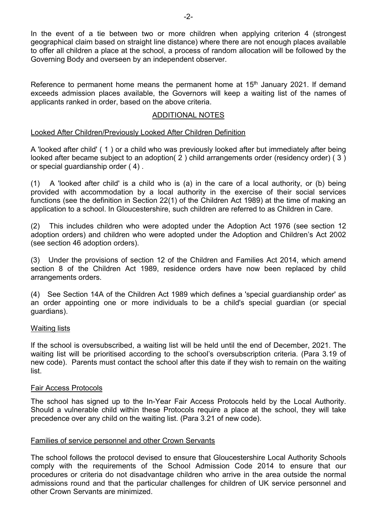In the event of a tie between two or more children when applying criterion 4 (strongest geographical claim based on straight line distance) where there are not enough places available to offer all children a place at the school, a process of random allocation will be followed by the Governing Body and overseen by an independent observer.

Reference to permanent home means the permanent home at 15<sup>th</sup> January 2021. If demand exceeds admission places available, the Governors will keep a waiting list of the names of applicants ranked in order, based on the above criteria.

# ADDITIONAL NOTES

# Looked After Children/Previously Looked After Children Definition

A 'looked after child' ( 1 ) or a child who was previously looked after but immediately after being looked after became subject to an adoption( 2 ) child arrangements order (residency order) ( 3 ) or special guardianship order ( 4) .

(1) A 'looked after child' is a child who is (a) in the care of a local authority, or (b) being provided with accommodation by a local authority in the exercise of their social services functions (see the definition in Section 22(1) of the Children Act 1989) at the time of making an application to a school. In Gloucestershire, such children are referred to as Children in Care.

(2) This includes children who were adopted under the Adoption Act 1976 (see section 12 adoption orders) and children who were adopted under the Adoption and Children's Act 2002 (see section 46 adoption orders).

(3) Under the provisions of section 12 of the Children and Families Act 2014, which amend section 8 of the Children Act 1989, residence orders have now been replaced by child arrangements orders.

(4) See Section 14A of the Children Act 1989 which defines a 'special guardianship order' as an order appointing one or more individuals to be a child's special guardian (or special guardians).

# Waiting lists

If the school is oversubscribed, a waiting list will be held until the end of December, 2021. The waiting list will be prioritised according to the school's oversubscription criteria. (Para 3.19 of new code). Parents must contact the school after this date if they wish to remain on the waiting list.

# Fair Access Protocols

The school has signed up to the In-Year Fair Access Protocols held by the Local Authority. Should a vulnerable child within these Protocols require a place at the school, they will take precedence over any child on the waiting list. (Para 3.21 of new code).

# Families of service personnel and other Crown Servants

The school follows the protocol devised to ensure that Gloucestershire Local Authority Schools comply with the requirements of the School Admission Code 2014 to ensure that our procedures or criteria do not disadvantage children who arrive in the area outside the normal admissions round and that the particular challenges for children of UK service personnel and other Crown Servants are minimized.